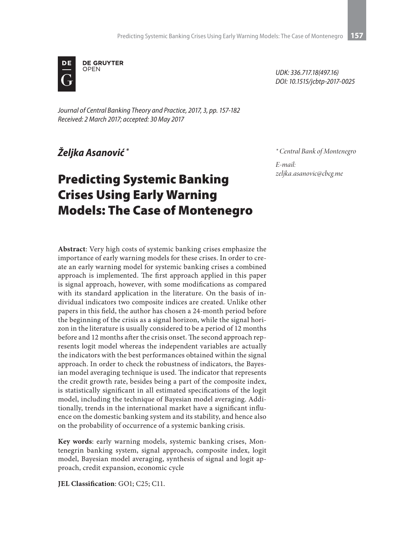

*Journal of Central Banking Theory and Practice, 2017, 3, pp. 157-182 Received: 2 March 2017; accepted: 30 May 2017*

*Željka Asanović \**

# Predicting Systemic Banking Crises Using Early Warning Models: The Case of Montenegro

**Abstract**: Very high costs of systemic banking crises emphasize the importance of early warning models for these crises. In order to create an early warning model for systemic banking crises a combined approach is implemented. The first approach applied in this paper is signal approach, however, with some modifications as compared with its standard application in the literature. On the basis of individual indicators two composite indices are created. Unlike other papers in this field, the author has chosen a 24-month period before the beginning of the crisis as a signal horizon, while the signal horizon in the literature is usually considered to be a period of 12 months before and 12 months after the crisis onset. The second approach represents logit model whereas the independent variables are actually the indicators with the best performances obtained within the signal approach. In order to check the robustness of indicators, the Bayesian model averaging technique is used. The indicator that represents the credit growth rate, besides being a part of the composite index, is statistically significant in all estimated specifications of the logit model, including the technique of Bayesian model averaging. Additionally, trends in the international market have a significant influence on the domestic banking system and its stability, and hence also on the probability of occurrence of a systemic banking crisis.

**Key words**: early warning models, systemic banking crises, Montenegrin banking system, signal approach, composite index, logit model, Bayesian model averaging, synthesis of signal and logit approach, credit expansion, economic cycle

**JEL Classification**: GO1; C25; C11.

*\* Central Bank of Montenegro*

*E-mail: zeljka.asanovic@cbcg.me*

*UDK: 336.717.18(497.16) DOI: 10.1515/jcbtp-2017-0025*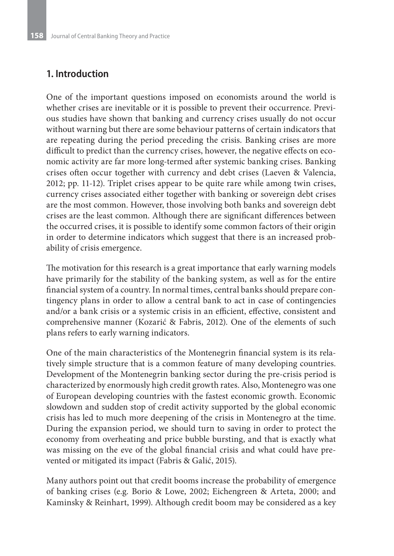### **1. Introduction**

One of the important questions imposed on economists around the world is whether crises are inevitable or it is possible to prevent their occurrence. Previous studies have shown that banking and currency crises usually do not occur without warning but there are some behaviour patterns of certain indicators that are repeating during the period preceding the crisis. Banking crises are more difficult to predict than the currency crises, however, the negative effects on economic activity are far more long-termed after systemic banking crises. Banking crises often occur together with currency and debt crises (Laeven & Valencia, 2012; pp. 11-12). Triplet crises appear to be quite rare while among twin crises, currency crises associated either together with banking or sovereign debt crises are the most common. However, those involving both banks and sovereign debt crises are the least common. Although there are significant differences between the occurred crises, it is possible to identify some common factors of their origin in order to determine indicators which suggest that there is an increased probability of crisis emergence.

The motivation for this research is a great importance that early warning models have primarily for the stability of the banking system, as well as for the entire financial system of a country. In normal times, central banks should prepare contingency plans in order to allow a central bank to act in case of contingencies and/or a bank crisis or a systemic crisis in an efficient, effective, consistent and comprehensive manner (Kozarić & Fabris, 2012). One of the elements of such plans refers to early warning indicators.

One of the main characteristics of the Montenegrin financial system is its relatively simple structure that is a common feature of many developing countries. Development of the Montenegrin banking sector during the pre-crisis period is characterized by enormously high credit growth rates. Also, Montenegro was one of European developing countries with the fastest economic growth. Economic slowdown and sudden stop of credit activity supported by the global economic crisis has led to much more deepening of the crisis in Montenegro at the time. During the expansion period, we should turn to saving in order to protect the economy from overheating and price bubble bursting, and that is exactly what was missing on the eve of the global financial crisis and what could have prevented or mitigated its impact (Fabris & Galić, 2015).

Many authors point out that credit booms increase the probability of emergence of banking crises (e.g. Borio & Lowe, 2002; Eichengreen & Arteta, 2000; and Kaminsky & Reinhart, 1999). Although credit boom may be considered as a key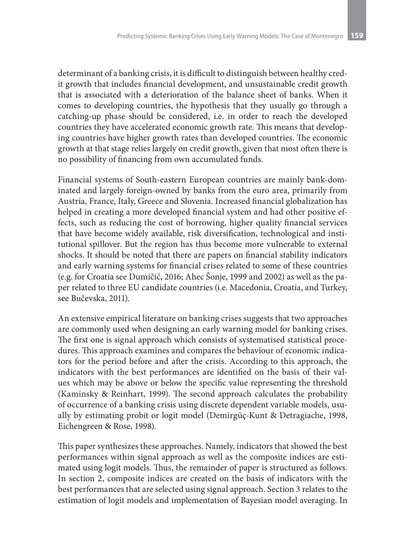determinant of a banking crisis, it is difficult to distinguish between healthy credit growth that includes financial development, and unsustainable credit growth that is associated with a deterioration of the balance sheet of banks. When it comes to developing countries, the hypothesis that they usually go through a catching-up phase should be considered, i.e. in order to reach the developed countries they have accelerated economic growth rate. This means that developing countries have higher growth rates than developed countries. The economic growth at that stage relies largely on credit growth, given that most often there is no possibility of financing from own accumulated funds.

Financial systems of South-eastern European countries are mainly bank-dominated and largely foreign-owned by banks from the euro area, primarily from Austria, France, Italy, Greece and Slovenia. Increased financial globalization has helped in creating a more developed financial system and had other positive effects, such as reducing the cost of borrowing, higher quality financial services that have become widely available, risk diversification, technological and institutional spillover. But the region has thus become more vulnerable to external shocks. It should be noted that there are papers on financial stability indicators and early warning systems for financial crises related to some of these countries (e.g. for Croatia see Dumičić, 2016; Ahec Šonje, 1999 and 2002) as well as the paper related to three EU candidate countries (i.e. Macedonia, Croatia, and Turkey, see Bučevska, 2011).

An extensive empirical literature on banking crises suggests that two approaches are commonly used when designing an early warning model for banking crises. The first one is signal approach which consists of systematised statistical procedures. This approach examines and compares the behaviour of economic indicators for the period before and after the crisis. According to this approach, the indicators with the best performances are identified on the basis of their values which may be above or below the specific value representing the threshold (Kaminsky & Reinhart, 1999). The second approach calculates the probability of occurrence of a banking crisis using discrete dependent variable models, usually by estimating probit or logit model (Demirgüç-Kunt & Detragiache, 1998, Eichengreen & Rose, 1998).

This paper synthesizes these approaches. Namely, indicators that showed the best performances within signal approach as well as the composite indices are estimated using logit models. Thus, the remainder of paper is structured as follows. In section 2, composite indices are created on the basis of indicators with the best performances that are selected using signal approach. Section 3 relates to the estimation of logit models and implementation of Bayesian model averaging. In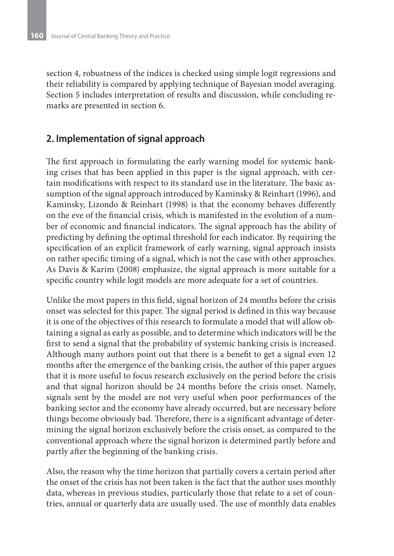section 4, robustness of the indices is checked using simple logit regressions and their reliability is compared by applying technique of Bayesian model averaging. Section 5 includes interpretation of results and discussion, while concluding remarks are presented in section 6.

## **2. Implementation of signal approach**

The first approach in formulating the early warning model for systemic banking crises that has been applied in this paper is the signal approach, with certain modifications with respect to its standard use in the literature. The basic assumption of the signal approach introduced by Kaminsky & Reinhart (1996), and Kaminsky, Lizondo & Reinhart (1998) is that the economy behaves differently on the eve of the financial crisis, which is manifested in the evolution of a number of economic and financial indicators. The signal approach has the ability of predicting by defining the optimal threshold for each indicator. By requiring the specification of an explicit framework of early warning, signal approach insists on rather specific timing of a signal, which is not the case with other approaches. As Davis & Karim (2008) emphasize, the signal approach is more suitable for a specific country while logit models are more adequate for a set of countries.

Unlike the most papers in this field, signal horizon of 24 months before the crisis onset was selected for this paper. The signal period is defined in this way because it is one of the objectives of this research to formulate a model that will allow obtaining a signal as early as possible, and to determine which indicators will be the first to send a signal that the probability of systemic banking crisis is increased. Although many authors point out that there is a benefit to get a signal even 12 months after the emergence of the banking crisis, the author of this paper argues that it is more useful to focus research exclusively on the period before the crisis and that signal horizon should be 24 months before the crisis onset. Namely, signals sent by the model are not very useful when poor performances of the banking sector and the economy have already occurred, but are necessary before things become obviously bad. Therefore, there is a significant advantage of determining the signal horizon exclusively before the crisis onset, as compared to the conventional approach where the signal horizon is determined partly before and partly after the beginning of the banking crisis.

Also, the reason why the time horizon that partially covers a certain period after the onset of the crisis has not been taken is the fact that the author uses monthly data, whereas in previous studies, particularly those that relate to a set of countries, annual or quarterly data are usually used. The use of monthly data enables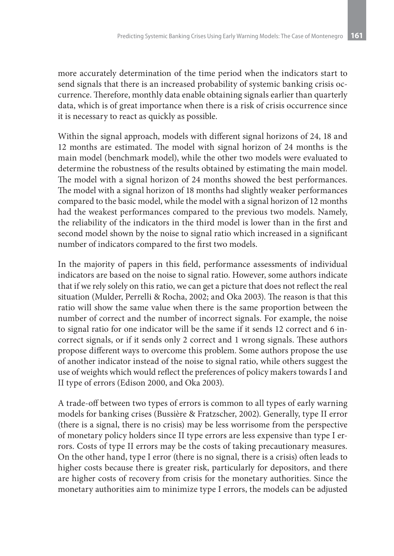more accurately determination of the time period when the indicators start to send signals that there is an increased probability of systemic banking crisis occurrence. Therefore, monthly data enable obtaining signals earlier than quarterly data, which is of great importance when there is a risk of crisis occurrence since it is necessary to react as quickly as possible.

Within the signal approach, models with different signal horizons of 24, 18 and 12 months are estimated. The model with signal horizon of 24 months is the main model (benchmark model), while the other two models were evaluated to determine the robustness of the results obtained by estimating the main model. The model with a signal horizon of 24 months showed the best performances. The model with a signal horizon of 18 months had slightly weaker performances compared to the basic model, while the model with a signal horizon of 12 months had the weakest performances compared to the previous two models. Namely, the reliability of the indicators in the third model is lower than in the first and second model shown by the noise to signal ratio which increased in a significant number of indicators compared to the first two models.

In the majority of papers in this field, performance assessments of individual indicators are based on the noise to signal ratio. However, some authors indicate that if we rely solely on this ratio, we can get a picture that does not reflect the real situation (Mulder, Perrelli & Rocha, 2002; and Oka 2003). The reason is that this ratio will show the same value when there is the same proportion between the number of correct and the number of incorrect signals. For example, the noise to signal ratio for one indicator will be the same if it sends 12 correct and 6 incorrect signals, or if it sends only 2 correct and 1 wrong signals. These authors propose different ways to overcome this problem. Some authors propose the use of another indicator instead of the noise to signal ratio, while others suggest the use of weights which would reflect the preferences of policy makers towards I and II type of errors (Edison 2000, and Oka 2003).

A trade-off between two types of errors is common to all types of early warning models for banking crises (Bussière & Fratzscher, 2002). Generally, type II error (there is a signal, there is no crisis) may be less worrisome from the perspective of monetary policy holders since II type errors are less expensive than type I errors. Costs of type II errors may be the costs of taking precautionary measures. On the other hand, type I error (there is no signal, there is a crisis) often leads to higher costs because there is greater risk, particularly for depositors, and there are higher costs of recovery from crisis for the monetary authorities. Since the monetary authorities aim to minimize type I errors, the models can be adjusted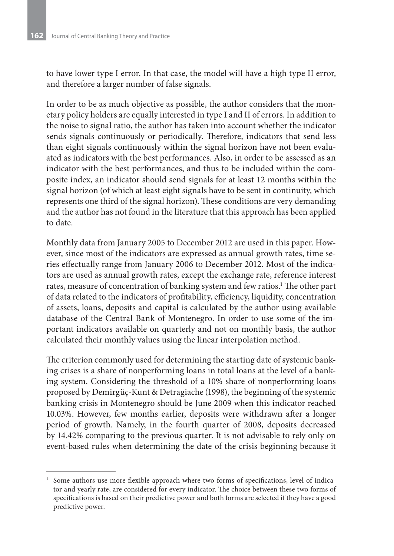to have lower type I error. In that case, the model will have a high type II error, and therefore a larger number of false signals.

In order to be as much objective as possible, the author considers that the monetary policy holders are equally interested in type I and II of errors. In addition to the noise to signal ratio, the author has taken into account whether the indicator sends signals continuously or periodically. Therefore, indicators that send less than eight signals continuously within the signal horizon have not been evaluated as indicators with the best performances. Also, in order to be assessed as an indicator with the best performances, and thus to be included within the composite index, an indicator should send signals for at least 12 months within the signal horizon (of which at least eight signals have to be sent in continuity, which represents one third of the signal horizon). These conditions are very demanding and the author has not found in the literature that this approach has been applied to date.

Monthly data from January 2005 to December 2012 are used in this paper. However, since most of the indicators are expressed as annual growth rates, time series effectually range from January 2006 to December 2012. Most of the indicators are used as annual growth rates, except the exchange rate, reference interest rates, measure of concentration of banking system and few ratios.<sup>1</sup> The other part of data related to the indicators of profitability, efficiency, liquidity, concentration of assets, loans, deposits and capital is calculated by the author using available database of the Central Bank of Montenegro. In order to use some of the important indicators available on quarterly and not on monthly basis, the author calculated their monthly values using the linear interpolation method.

The criterion commonly used for determining the starting date of systemic banking crises is a share of nonperforming loans in total loans at the level of a banking system. Considering the threshold of a 10% share of nonperforming loans proposed by Demirgüç-Kunt & Detragiache (1998), the beginning of the systemic banking crisis in Montenegro should be June 2009 when this indicator reached 10.03%. However, few months earlier, deposits were withdrawn after a longer period of growth. Namely, in the fourth quarter of 2008, deposits decreased by 14.42% comparing to the previous quarter. It is not advisable to rely only on event-based rules when determining the date of the crisis beginning because it

<sup>&</sup>lt;sup>1</sup> Some authors use more flexible approach where two forms of specifications, level of indicator and yearly rate, are considered for every indicator. The choice between these two forms of specifications is based on their predictive power and both forms are selected if they have a good predictive power.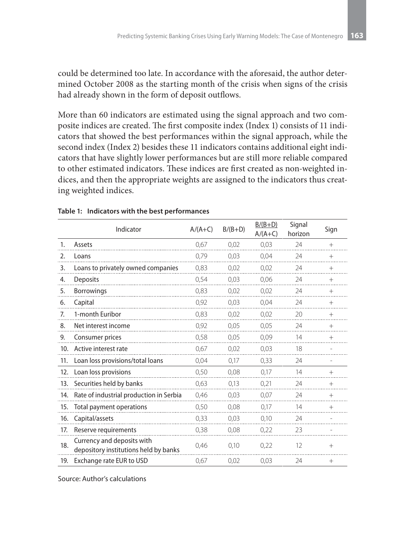could be determined too late. In accordance with the aforesaid, the author determined October 2008 as the starting month of the crisis when signs of the crisis had already shown in the form of deposit outflows.

More than 60 indicators are estimated using the signal approach and two composite indices are created. The first composite index (Index 1) consists of 11 indicators that showed the best performances within the signal approach, while the second index (Index 2) besides these 11 indicators contains additional eight indicators that have slightly lower performances but are still more reliable compared to other estimated indicators. These indices are first created as non-weighted indices, and then the appropriate weights are assigned to the indicators thus creating weighted indices.

|                       | Indicator                                                           | $A/(A+C)$ | $B/(B+D)$ | $B/(B+D)$<br>$A/(A+C)$ | Signal<br>horizon | Sign   |
|-----------------------|---------------------------------------------------------------------|-----------|-----------|------------------------|-------------------|--------|
| 1.                    | Assets                                                              | 0,67      | 0,02      | 0.03                   | 24                | $+$    |
| $\mathcal{P}_{\cdot}$ | Loans                                                               | 0.79      | 0.03      | 0.04                   | 24                | $^{+}$ |
| 3.                    | Loans to privately owned companies                                  | 0.83      | 0.02      | 0.02                   | 24                | $^{+}$ |
| 4.                    | <b>Deposits</b>                                                     | 0,54      | 0.03      | 0.06                   | 24                | $^{+}$ |
| 5.                    | Borrowings                                                          | 0.83      | 0.02      | 0.02                   | 24                | $+$    |
| 6.                    | Capital                                                             | 0,92      | 0.03      | 0.04                   | 24                | $^{+}$ |
| 7.                    | 1-month Euribor                                                     | 0,83      | 0,02      | 0.02                   | 20                | $^{+}$ |
| 8.                    | Net interest income                                                 | 0,92      | 0,05      | 0.05                   | 24                | $+$    |
| 9.                    | Consumer prices                                                     | 0,58      | 0,05      | 0.09                   | 14                | $+$    |
|                       | 10. Active interest rate                                            | 0,67      | 0,02      | 0,03                   | 18                |        |
| 11.                   | Loan loss provisions/total loans                                    | 0,04      | 0.17      | 0.33                   | 24                |        |
|                       | 12. Loan loss provisions                                            | 0,50      | 0,08      | 0,17                   | 14                | $^{+}$ |
|                       | 13. Securities held by banks                                        | 0,63      | 0,13      | 0,21                   | 24                | $+$    |
|                       | 14. Rate of industrial production in Serbia                         | 0,46      | 0,03      | 0,07                   | 24                | $+$    |
| 15.                   | Total payment operations                                            | 0,50      | 0.08      | 0.17                   | 14                | $+$    |
| 16.                   | Capital/assets                                                      | 0,33      | 0,03      | 0,10                   | 24                |        |
| 17.                   | Reserve requirements                                                | 0,38      | 0,08      | 0,22                   | 23                |        |
| 18.                   | Currency and deposits with<br>depository institutions held by banks | 0.46      | 0.10      | 0.22                   | 12                | $^{+}$ |
| 19.                   | Exchange rate EUR to USD                                            | 0,67      | 0,02      | 0,03                   | 24                | $^{+}$ |

#### **Table 1: Indicators with the best performances**

Source: Author's calculations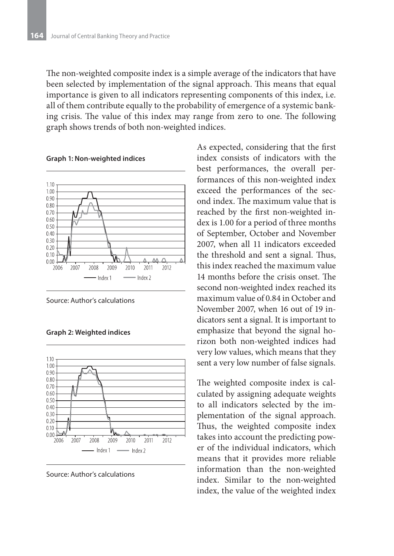The non-weighted composite index is a simple average of the indicators that have been selected by implementation of the signal approach. This means that equal importance is given to all indicators representing components of this index, i.e. all of them contribute equally to the probability of emergence of a systemic banking crisis. The value of this index may range from zero to one. The following graph shows trends of both non-weighted indices.





Source: Author's calculations

**Graph 2: Weighted indices**



Source: Author's calculations

As expected, considering that the first index consists of indicators with the best performances, the overall performances of this non-weighted index exceed the performances of the second index. The maximum value that is reached by the first non-weighted index is 1.00 for a period of three months of September, October and November 2007, when all 11 indicators exceeded the threshold and sent a signal. Thus, this index reached the maximum value 14 months before the crisis onset. The second non-weighted index reached its maximum value of 0.84 in October and November 2007, when 16 out of 19 indicators sent a signal. It is important to emphasize that beyond the signal horizon both non-weighted indices had very low values, which means that they sent a very low number of false signals.

The weighted composite index is calculated by assigning adequate weights to all indicators selected by the implementation of the signal approach. Thus, the weighted composite index takes into account the predicting power of the individual indicators, which means that it provides more reliable information than the non-weighted index. Similar to the non-weighted index, the value of the weighted index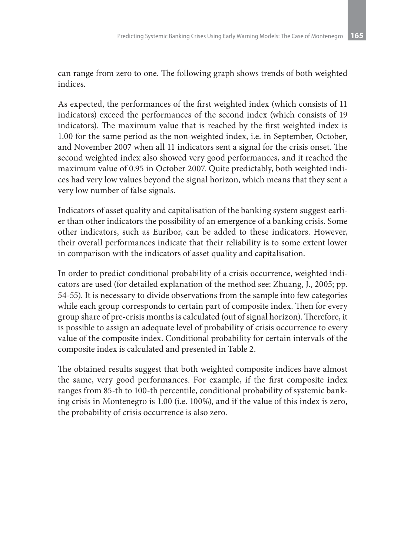can range from zero to one. The following graph shows trends of both weighted indices.

As expected, the performances of the first weighted index (which consists of 11 indicators) exceed the performances of the second index (which consists of 19 indicators). The maximum value that is reached by the first weighted index is 1.00 for the same period as the non-weighted index, i.e. in September, October, and November 2007 when all 11 indicators sent a signal for the crisis onset. The second weighted index also showed very good performances, and it reached the maximum value of 0.95 in October 2007. Quite predictably, both weighted indices had very low values beyond the signal horizon, which means that they sent a very low number of false signals.

Indicators of asset quality and capitalisation of the banking system suggest earlier than other indicators the possibility of an emergence of a banking crisis. Some other indicators, such as Euribor, can be added to these indicators. However, their overall performances indicate that their reliability is to some extent lower in comparison with the indicators of asset quality and capitalisation.

In order to predict conditional probability of a crisis occurrence, weighted indicators are used (for detailed explanation of the method see: Zhuang, J., 2005; pp. 54-55). It is necessary to divide observations from the sample into few categories while each group corresponds to certain part of composite index. Then for every group share of pre-crisis months is calculated (out of signal horizon). Therefore, it is possible to assign an adequate level of probability of crisis occurrence to every value of the composite index. Conditional probability for certain intervals of the composite index is calculated and presented in Table 2.

The obtained results suggest that both weighted composite indices have almost the same, very good performances. For example, if the first composite index ranges from 85-th to 100-th percentile, conditional probability of systemic banking crisis in Montenegro is 1.00 (i.e. 100%), and if the value of this index is zero, the probability of crisis occurrence is also zero.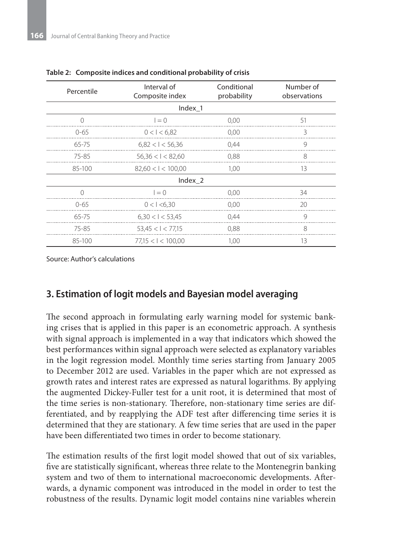| Percentile | Interval of<br>Composite index | Conditional<br>probability | Number of<br>observations |  |  |  |  |  |  |
|------------|--------------------------------|----------------------------|---------------------------|--|--|--|--|--|--|
| Index 1    |                                |                            |                           |  |  |  |  |  |  |
| $\Omega$   | $= 0$                          | 0,00                       | 51                        |  |  |  |  |  |  |
| $0 - 65$   | 0 < l < 6.82                   | 0,00                       | 3                         |  |  |  |  |  |  |
| $65 - 75$  | 6,82 < l < 56,36               | 0,44                       | $\circ$                   |  |  |  |  |  |  |
| 75-85      | 56,36 < l < 82,60              | 0,88                       | 8                         |  |  |  |  |  |  |
| 85-100     | 82,60 < l < 100,00             | 1.00                       | 13                        |  |  |  |  |  |  |
|            | Index 2                        |                            |                           |  |  |  |  |  |  |
| $\bigcap$  | $= 0$                          | 0,00                       | 34                        |  |  |  |  |  |  |
| $0 - 65$   | 0 < I < 6,30                   | 0,00                       | 20                        |  |  |  |  |  |  |
| $65 - 75$  | 6,30 < l < 53,45               | 0,44                       | $\circ$                   |  |  |  |  |  |  |
| 75-85      | 53,45 < l < 77,15              | 0,88                       | $\mathcal{R}$             |  |  |  |  |  |  |
| 85-100     | 77,15 < l < 100,00             | 1,00                       | 13                        |  |  |  |  |  |  |

**Table 2: Composite indices and conditional probability of crisis**

Source: Author's calculations

### **3. Estimation of logit models and Bayesian model averaging**

The second approach in formulating early warning model for systemic banking crises that is applied in this paper is an econometric approach. A synthesis with signal approach is implemented in a way that indicators which showed the best performances within signal approach were selected as explanatory variables in the logit regression model. Monthly time series starting from January 2005 to December 2012 are used. Variables in the paper which are not expressed as growth rates and interest rates are expressed as natural logarithms. By applying the augmented Dickey-Fuller test for a unit root, it is determined that most of the time series is non-stationary. Therefore, non-stationary time series are differentiated, and by reapplying the ADF test after differencing time series it is determined that they are stationary. A few time series that are used in the paper have been differentiated two times in order to become stationary.

The estimation results of the first logit model showed that out of six variables, five are statistically significant, whereas three relate to the Montenegrin banking system and two of them to international macroeconomic developments. Afterwards, a dynamic component was introduced in the model in order to test the robustness of the results. Dynamic logit model contains nine variables wherein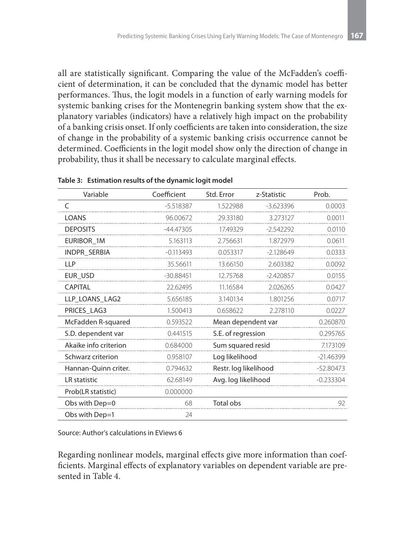all are statistically significant. Comparing the value of the McFadden's coefficient of determination, it can be concluded that the dynamic model has better performances. Thus, the logit models in a function of early warning models for systemic banking crises for the Montenegrin banking system show that the explanatory variables (indicators) have a relatively high impact on the probability of a banking crisis onset. If only coefficients are taken into consideration, the size of change in the probability of a systemic banking crisis occurrence cannot be determined. Coefficients in the logit model show only the direction of change in probability, thus it shall be necessary to calculate marginal effects.

| Variable              | Coefficient | Std. Error            | z-Statistic | Prob.       |
|-----------------------|-------------|-----------------------|-------------|-------------|
| C                     | $-5.518387$ | 1.522988              | $-3.623396$ | 0.0003      |
| <b>LOANS</b>          | 96.00672    | 29.33180              | 3.273127    | 0.0011      |
| <b>DEPOSITS</b>       | $-44.47305$ | 17.49329              | $-2.542292$ | 0.0110      |
| EURIBOR_1M            | 5.163113    | 2.756631              | 1.872979    | 0.0611      |
| INDPR_SERBIA          | $-0.113493$ | 0.053317              | $-2.128649$ | 0.0333      |
| <b>LLP</b>            | 35.56611    | 13.66150              | 2.603382    | 0.0092      |
| EUR_USD               | $-30.88451$ | 12.75768              | $-2.420857$ | 0.0155      |
| <b>CAPITAL</b>        | 22.62495    | 11.16584              | 2.026265    | 0.0427      |
| LLP_LOANS_LAG2        | 5.656185    | 3.140134              | 1.801256    | 0.0717      |
| PRICES_LAG3           | 1.500413    | 0.658622              | 2.278110    | 0.0227      |
| McFadden R-squared    | 0.593522    | Mean dependent var    |             | 0.260870    |
| S.D. dependent var    | 0.441515    | S.E. of regression    |             | 0.295765    |
| Akaike info criterion | 0.684000    | Sum squared resid     |             | 7.173109    |
| Schwarz criterion     | 0.958107    | Log likelihood        |             | $-21.46399$ |
| Hannan-Quinn criter.  | 0.794632    | Restr. log likelihood |             | $-52.80473$ |
| LR statistic          | 62.68149    | Avg. log likelihood   |             | $-0.233304$ |
| Prob(LR statistic)    | 0.000000    |                       |             |             |
| Obs with Dep=0        | 68          | <b>Total obs</b>      |             | 92          |
| Obs with Dep=1        | 24          |                       |             |             |

#### **Table 3: Estimation results of the dynamic logit model**

Source: Author's calculations in EViews 6

Regarding nonlinear models, marginal effects give more information than coefficients. Marginal effects of explanatory variables on dependent variable are presented in Table 4.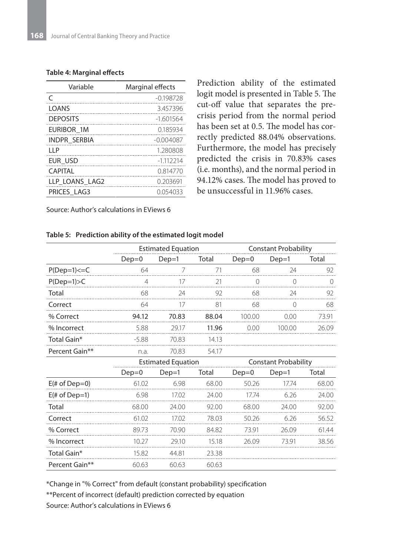#### **Table 4: Marginal effects**

| Variable        | Marginal effects |
|-----------------|------------------|
| C               | $-0.198728$      |
| LOANS           | 3.457396         |
| <b>DEPOSITS</b> | $-1601564$       |
| EURIBOR 1M      | 0.185934         |
| INDPR SERBIA    | $-0.004087$      |
| IIP             | 1.280808         |
| EUR USD         | $-1.112214$      |
| <b>CAPITAL</b>  | 0.814770         |
| LLP_LOANS_LAG2  | 0.203691         |
| PRICES LAG3     | 0.054033         |

Source: Author's calculations in EViews 6

Prediction ability of the estimated logit model is presented in Table 5. The cut-off value that separates the precrisis period from the normal period has been set at 0.5. The model has correctly predicted 88.04% observations. Furthermore, the model has precisely predicted the crisis in 70.83% cases (i.e. months), and the normal period in 94.12% cases. The model has proved to be unsuccessful in 11.96% cases.

#### **Table 5: Prediction ability of the estimated logit model**

|                   |         | <b>Estimated Equation</b> |       | <b>Constant Probability</b> |                  |                  |
|-------------------|---------|---------------------------|-------|-----------------------------|------------------|------------------|
|                   | $Dep=0$ | $Dep=1$                   | Total | $Dep=0$                     | $Dep=1$          | Total            |
| $P(Dep=1) \leq C$ | 64      |                           | 71    | 68                          | 24               | 92               |
| $P(Dep=1) > C$    | 4       | 17                        | 21    | $\bigcap$                   | $\left( \right)$ | $\left( \right)$ |
| Total             | 68      | - 24                      | 92    | 68                          | -24              | 92               |
| Correct           | 64      | 17                        | 81    | 68                          | 0                | 68               |
| % Correct         | 94.12   | 70.83                     | 88.04 | 100.00                      | 0.00             | 7391             |
| % Incorrect       | 588     | 2917                      | 11.96 | 0.00                        | 100.00           | 26.09            |
| Total Gain*       | $-5.88$ | 70.83                     | 1413  |                             |                  |                  |
| Percent Gain**    | n.a.    | 70.83                     | 54.17 |                             |                  |                  |

|                  |         | <b>Estimated Equation</b> |       | <b>Constant Probability</b> |         |       |  |
|------------------|---------|---------------------------|-------|-----------------------------|---------|-------|--|
|                  | $Dep=0$ | $Dep=1$                   | Total | $Dep=0$                     | $Dep=1$ | Total |  |
| $E(\# of Dep=0)$ | 61.02   | 6.98                      | 68.00 | 5026                        | 1774    | 68.00 |  |
| $E(\# of Dep=1)$ | 698     | 17.02                     | 24.00 | 1774                        | 626     | 24.00 |  |
| Total            | 68.00   | 24.00                     | 92.00 | 68.00                       | 24.00   | 92.00 |  |
| Correct          | 61.02   | 17.02                     | 78.03 | 50.26                       | 626     | 56.52 |  |
| % Correct        | 8973    | 70.90                     | 8482  | 7391                        | 26.09   | 6144  |  |
| % Incorrect      | 10 27   | 2910                      | 1518  | 26.09                       | 7391    | 38.56 |  |
| Total Gain*      | 15.82   | 4481                      | 2338  |                             |         |       |  |
| Percent Gain**   | 60.63   | 60.63                     | 60.63 |                             |         |       |  |

\*Change in "% Correct" from default (constant probability) specification

\*\*Percent of incorrect (default) prediction corrected by equation

Source: Author's calculations in EViews 6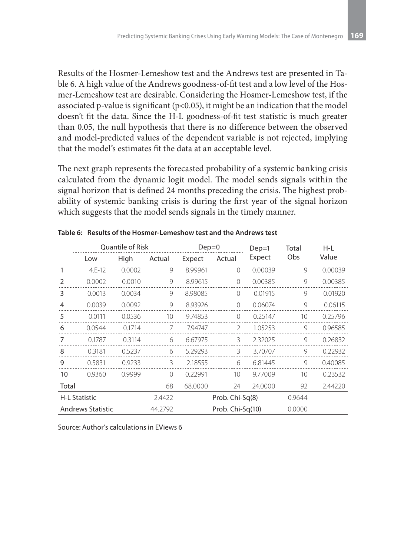Results of the Hosmer-Lemeshow test and the Andrews test are presented in Table 6. A high value of the Andrews goodness-of-fit test and a low level of the Hosmer-Lemeshow test are desirable. Considering the Hosmer-Lemeshow test, if the associated p-value is significant ( $p<0.05$ ), it might be an indication that the model doesn't fit the data. Since the H-L goodness-of-fit test statistic is much greater than 0.05, the null hypothesis that there is no difference between the observed and model-predicted values of the dependent variable is not rejected, implying that the model's estimates fit the data at an acceptable level.

The next graph represents the forecasted probability of a systemic banking crisis calculated from the dynamic logit model. The model sends signals within the signal horizon that is defined 24 months preceding the crisis. The highest probability of systemic banking crisis is during the first year of the signal horizon which suggests that the model sends signals in the timely manner.

|                          |                      | <b>Ouantile of Risk</b> |                 |         | $Dep=0$          |         | Total           | $H-L$   |
|--------------------------|----------------------|-------------------------|-----------------|---------|------------------|---------|-----------------|---------|
|                          | Low                  | High                    | Actual          | Expect  | Actual           | Expect  | Obs             | Value   |
|                          | $4.E-12$             | 0.0002                  | 9               | 8.99961 | 0                | 0.00039 | 9               | 0.00039 |
| $\mathcal{P}$            | 0.0002               | 0.0010                  | 9               | 8.99615 | $\Omega$         | 0.00385 | 9               | 0.00385 |
| 3                        | 0.0013               | 0.0034                  | 9               | 8.98085 | $\Omega$         | 0.01915 | 9               | 0.01920 |
| 4                        | 0.0039               | 0.0092                  | 9               | 8.93926 | $\Omega$         | 0.06074 | 9               | 0.06115 |
| 5                        | 0.0111               | 0.0536                  | 10 <sup>°</sup> | 9.74853 | $\Omega$         | 0.25147 | 10 <sup>°</sup> | 0.25796 |
| 6                        | 0.0544               | 0.1714                  | 7               | 7.94747 | $\mathfrak{D}$   | 1.05253 | 9               | 0.96585 |
| 7                        | 0.1787               | 0.3114                  | 6               | 6.67975 | 3                | 2.32025 | 9               | 0.26832 |
| 8                        | 0.3181               | 0.5237                  | 6               | 5.29293 | 3                | 3.70707 | 9               | 0.22932 |
| 9                        | 0.5831               | 0.9233                  | 3               | 2.18555 | 6                | 6.81445 | 9               | 0.40085 |
| 10                       | 0.9360               | 0.9999                  | $\Omega$        | 0.22991 | 10 <sup>°</sup>  | 9.77009 | 10 <sup>°</sup> | 0.23532 |
| Total                    |                      |                         | 68              | 68,0000 | 24               | 24.0000 | 92              | 2.44220 |
|                          | <b>H-L Statistic</b> |                         | 2.4422          |         | Prob. Chi-Sq(8)  |         | 0.9644          |         |
| <b>Andrews Statistic</b> |                      |                         | 44.2792         |         | Prob. Chi-Sq(10) |         | 0.0000          |         |

**Table 6: Results of the Hosmer-Lemeshow test and the Andrews test** 

Source: Author's calculations in EViews 6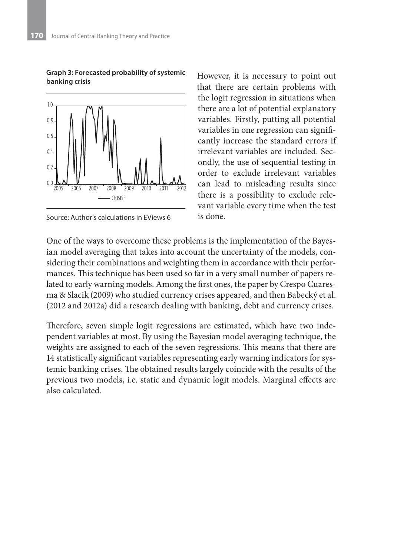

#### **Graph 3: Forecasted probability of systemic banking crisis**

However, it is necessary to point out that there are certain problems with the logit regression in situations when there are a lot of potential explanatory variables. Firstly, putting all potential variables in one regression can significantly increase the standard errors if irrelevant variables are included. Secondly, the use of sequential testing in order to exclude irrelevant variables can lead to misleading results since there is a possibility to exclude relevant variable every time when the test is done.

One of the ways to overcome these problems is the implementation of the Bayesian model averaging that takes into account the uncertainty of the models, considering their combinations and weighting them in accordance with their performances. This technique has been used so far in a very small number of papers related to early warning models. Among the first ones, the paper by Crespo Cuaresma & Slacik (2009) who studied currency crises appeared, and then Babecký et al. (2012 and 2012a) did a research dealing with banking, debt and currency crises.

Therefore, seven simple logit regressions are estimated, which have two independent variables at most. By using the Bayesian model averaging technique, the weights are assigned to each of the seven regressions. This means that there are 14 statistically significant variables representing early warning indicators for systemic banking crises. The obtained results largely coincide with the results of the previous two models, i.e. static and dynamic logit models. Marginal effects are also calculated.

Source: Author's calculations in EViews 6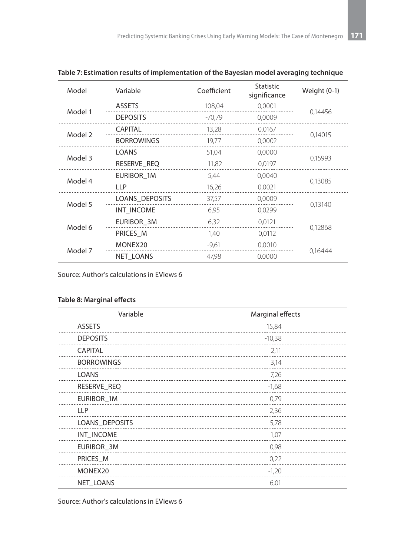| Model   | Variable          | Coefficient | Statistic<br>significance | Weight $(0-1)$ |
|---------|-------------------|-------------|---------------------------|----------------|
| Model 1 | <b>ASSETS</b>     | 108,04      | 0,0001                    |                |
|         | <b>DEPOSITS</b>   | $-70,79$    | 0,0009                    | 0,14456        |
| Model 2 | <b>CAPITAL</b>    | 13,28       | 0,0167                    |                |
|         | <b>BORROWINGS</b> | 19,77       | 0,0002                    | 0,14015        |
| Model 3 | <b>LOANS</b>      | 51,04       | 0,0000                    | 0.15993        |
|         | RESERVE REQ       | $-11,82$    | 0,0197                    |                |
|         | EURIBOR 1M        | 5,44        | 0,0040                    |                |
| Model 4 | <b>LLP</b>        | 16,26       | 0,0021                    | 0,13085        |
| Model 5 | LOANS DEPOSITS    | 37,57       | 0.0009                    |                |
|         | INT INCOME        | 6,95        | 0,0299                    | 0,13140        |
| Model 6 | EURIBOR 3M        | 6,32        | 0,0121                    |                |
|         | PRICES M          | 1,40        | 0,0112                    | 0,12868        |
| Model 7 | MONEX20           | $-9.61$     | 0.0010                    | 0.16444        |
|         | <b>NET LOANS</b>  | 47.98       | 0.0000                    |                |

#### **Table 7: Estimation results of implementation of the Bayesian model averaging technique**

Source: Author's calculations in EViews 6

#### **Table 8: Marginal effects**

| Variable          | Marginal effects |
|-------------------|------------------|
| <b>ASSETS</b>     | 15,84            |
| <b>DEPOSITS</b>   | $-10,38$         |
| <b>CAPITAL</b>    | 2,11             |
| <b>BORROWINGS</b> | 3,14             |
| <b>LOANS</b>      | 7,26             |
| RESERVE_REQ       | $-1,68$          |
| EURIBOR_1M        | 0,79             |
| <b>LLP</b>        | 2,36             |
| LOANS_DEPOSITS    | 5,78             |
| INT_INCOME        | 1,07             |
| EURIBOR_3M        | 0,98             |
| PRICES_M          | 0,22             |
| MONEX20           | $-1,20$          |
| <b>NET LOANS</b>  | 6,01             |

Source: Author's calculations in EViews 6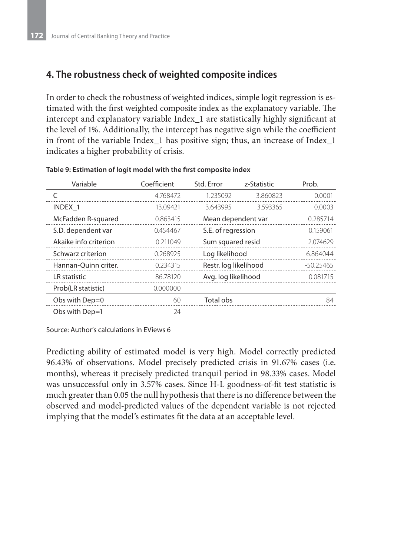# **4. The robustness check of weighted composite indices**

In order to check the robustness of weighted indices, simple logit regression is estimated with the first weighted composite index as the explanatory variable. The intercept and explanatory variable Index\_1 are statistically highly significant at the level of 1%. Additionally, the intercept has negative sign while the coefficient in front of the variable Index\_1 has positive sign; thus, an increase of Index\_1 indicates a higher probability of crisis.

| Variable              | Coefficient | Std. Error            | z-Statistic | Prob.       |
|-----------------------|-------------|-----------------------|-------------|-------------|
|                       | $-4.768472$ | 1.235092              | $-3.860823$ | 0.0001      |
| INDEX 1               | 13.09421    | 3.643995              | 3.593365    | 0.0003      |
| McFadden R-squared    | 0.863415    | Mean dependent var    |             | 0.285714    |
| S.D. dependent var    | 0.454467    | S.E. of regression    | 0.159061    |             |
| Akaike info criterion | 0.211049    | Sum squared resid     |             | 2.074629    |
| Schwarz criterion     | 0.268925    | Log likelihood        |             | $-6.864044$ |
| Hannan-Quinn criter.  | 0.234315    | Restr. log likelihood |             | -50.25465   |
| LR statistic          | 86.78120    | Avg. log likelihood   |             | $-0.081715$ |
| Prob(LR statistic)    | 0.000000    |                       |             |             |
| Obs with Dep=0        | 60          | Total obs             |             | 84          |
| Obs with Dep=1        | 24          |                       |             |             |

**Table 9: Estimation of logit model with the first composite index** 

Source: Author's calculations in EViews 6

Predicting ability of estimated model is very high. Model correctly predicted 96.43% of observations. Model precisely predicted crisis in 91.67% cases (i.e. months), whereas it precisely predicted tranquil period in 98.33% cases. Model was unsuccessful only in 3.57% cases. Since H-L goodness-of-fit test statistic is much greater than 0.05 the null hypothesis that there is no difference between the observed and model-predicted values of the dependent variable is not rejected implying that the model's estimates fit the data at an acceptable level.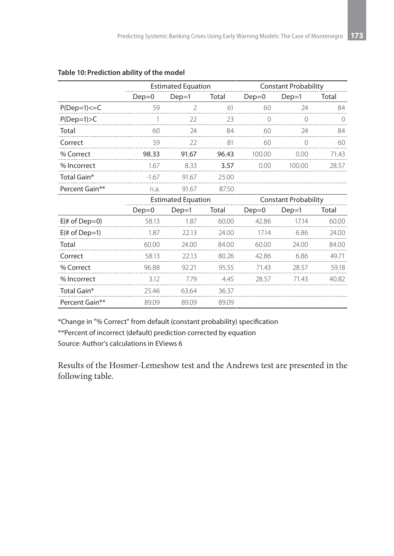|                   | <b>Estimated Equation</b> |         |       | <b>Constant Probability</b> |                  |       |  |
|-------------------|---------------------------|---------|-------|-----------------------------|------------------|-------|--|
|                   | $Dep=0$                   | $Dep=1$ | Total | $Dep=0$                     | $Dep=1$          | Total |  |
| $P(Dep=1) \leq C$ | 59                        |         | 61    | 60                          | 24               | 84    |  |
| $P(Dep=1) > C$    |                           | 22      | 23    | $\bigcap$                   | $\left( \right)$ |       |  |
| Total             | 60                        | 24      | 84    | 60                          | 24               | 84    |  |
| Correct           | 59                        | $22$    | 81    | 60                          | $\bigcap$        | 60    |  |
| % Correct         | 98.33                     | 91.67   | 96.43 | 100.00                      | 0.00             | 7143  |  |
| % Incorrect       | 167                       | 833     | 3.57  | 0.00                        | 100.00           | 28.57 |  |
| Total Gain*       | $-167$                    | 91.67   | 25.00 |                             |                  |       |  |
| Percent Gain**    | n.a.                      | 91.67   | 8750  |                             |                  |       |  |

#### **Table 10: Prediction ability of the model**

|                  |         | <b>Estimated Equation</b> |       | <b>Constant Probability</b> |         |       |  |
|------------------|---------|---------------------------|-------|-----------------------------|---------|-------|--|
|                  | $Dep=0$ | $Dep=1$                   | Total | $Dep=0$                     | $Dep=1$ | Total |  |
| $E(\# of Dep=0)$ | 5813    | 187                       | 60.00 | 4286                        | 1714    | 60.00 |  |
| $E(\# of Dep=1)$ | 187     | 2213                      | 24.00 | 1714                        | 686     | 24.00 |  |
| Total            | 60.00   | 24.00                     | 84.00 | 60.00                       | 24.00   | 8400  |  |
| Correct          | 5813    | 22.13                     | 8026  | 4286                        | 686     | 4971  |  |
| % Correct        | 96.88   | 92 21                     | 95 55 | 7143                        | 28.57   | 5918  |  |
| % Incorrect      | 312     | 779                       | 445   | 28.57                       | 7143    | 40.82 |  |
| Total Gain*      | 2546    | 63.64                     | 3637  |                             |         |       |  |
| Percent Gain**   | 89.09   | 8909                      | 89.09 |                             |         |       |  |

\*Change in "% Correct" from default (constant probability) specification

\*\*Percent of incorrect (default) prediction corrected by equation

Source: Author's calculations in EViews 6

Results of the Hosmer-Lemeshow test and the Andrews test are presented in the following table.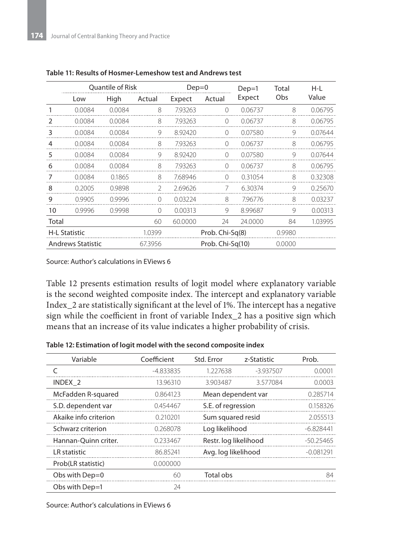|                                | <b>Ouantile of Risk</b>  |                 | $Dep=0$        |         | $Dep=1$          | Total   | H-L    |         |
|--------------------------------|--------------------------|-----------------|----------------|---------|------------------|---------|--------|---------|
|                                | Low                      | High            | Actual         | Expect  | Actual           | Expect  | Obs    | Value   |
|                                | 0.0084                   | 0.0084          | 8              | 7.93263 | $\Omega$         | 0.06737 | 8      | 0.06795 |
| 2                              | 0.0084                   | 0.0084          | 8              | 7.93263 | $\Omega$         | 0.06737 | 8      | 0.06795 |
| 3                              | 0.0084                   | 0.0084          | 9              | 8.92420 | 0                | 0.07580 | 9      | 0.07644 |
| 4                              | 0.0084                   | 0.0084          | 8              | 7.93263 | $\Omega$         | 0.06737 | 8      | 0.06795 |
| 5                              | 0.0084                   | 0.0084          | 9              | 8.92420 | $\Omega$         | 0.07580 | 9      | 0.07644 |
| 6                              | 0.0084                   | 0.0084          | 8              | 7.93263 | $\Omega$         | 0.06737 | 8      | 0.06795 |
| 7                              | 0.0084                   | 0.1865          | 8              | 7.68946 | $\Omega$         | 0.31054 | 8      | 0.32308 |
| 8                              | 0.2005                   | 0.9898          | $\mathfrak{D}$ | 2.69626 | 7                | 6.30374 | 9      | 0.25670 |
| 9                              | 0.9905                   | 0.9996          | $\Omega$       | 0.03224 | 8                | 7.96776 | 8      | 0.03237 |
| 10                             | 0.9996                   | 0.9998          | $\Omega$       | 0.00313 | 9                | 8.99687 | 9      | 0.00313 |
| Total                          |                          |                 | 60             | 60.0000 | 24               | 24.0000 | 84     | 1.03995 |
| <b>H-L Statistic</b><br>1.0399 |                          | Prob. Chi-Sq(8) |                |         | 0.9980           |         |        |         |
|                                | <b>Andrews Statistic</b> |                 | 67.3956        |         | Prob. Chi-Sq(10) |         | 0.0000 |         |

**Table 11: Results of Hosmer-Lemeshow test and Andrews test** 

Source: Author's calculations in EViews 6

Table 12 presents estimation results of logit model where explanatory variable is the second weighted composite index. The intercept and explanatory variable Index\_2 are statistically significant at the level of 1%. The intercept has a negative sign while the coefficient in front of variable Index\_2 has a positive sign which means that an increase of its value indicates a higher probability of crisis.

| Variable              | Coefficient | Std. Error            | z-Statistic | Prob.       |
|-----------------------|-------------|-----------------------|-------------|-------------|
| C                     | -4.833835   | 1.227638              | -3.937507   | 0.0001      |
| INDEX <sub>2</sub>    | 13.96310    | 3.903487              | 3.577084    | 0.0003      |
| McFadden R-squared    | 0.864123    | Mean dependent var    |             | 0.285714    |
| S.D. dependent var    | 0.454467    | S.E. of regression    |             | 0.158326    |
| Akaike info criterion | 0.210201    | Sum squared resid     |             | 2.055513    |
| Schwarz criterion     | 0.268078    | Log likelihood        |             | $-6.828441$ |
| Hannan-Quinn criter.  | 0.233467    | Restr. log likelihood |             | $-50.25465$ |
| LR statistic          | 86.85241    | Avg. log likelihood   |             | $-0.081291$ |
| Prob(LR statistic)    | 0.000000    |                       |             |             |
| Obs with Dep=0        | 60          | Total obs             |             | 84          |
| Obs with Dep=1        | 24          |                       |             |             |

**Table 12: Estimation of logit model with the second composite index** 

Source: Author's calculations in EViews 6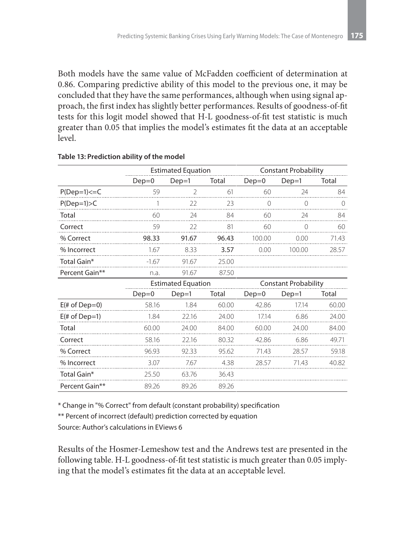Both models have the same value of McFadden coefficient of determination at 0.86. Comparing predictive ability of this model to the previous one, it may be concluded that they have the same performances, although when using signal approach, the first index has slightly better performances. Results of goodness-of-fit tests for this logit model showed that H-L goodness-of-fit test statistic is much greater than 0.05 that implies the model's estimates fit the data at an acceptable level.

|                   | <b>Estimated Equation</b> |                |       | <b>Constant Probability</b> |          |          |
|-------------------|---------------------------|----------------|-------|-----------------------------|----------|----------|
|                   | $Dep=0$                   | $Dep=1$        | Total | $Dep=0$                     | $Dep=1$  | Total    |
| $P(Dep=1) \leq C$ | 59                        | $\mathfrak{D}$ | 61    | 60                          | 24       | 84       |
| $P(Dep=1) > C$    |                           | 22             | 23    | $\Omega$                    | 0        | $\Omega$ |
| Total             | 60                        | 24             | 84    | 60                          | 24       | 84       |
| Correct           | 59                        | 22             | 81    | 60                          | $\Omega$ | 60       |
| % Correct         | 98.33                     | 91.67          | 96.43 | 100.00                      | 0.00     | 71.43    |
| % Incorrect       | 1.67                      | 8.33           | 3.57  | 0.00                        | 100.00   | 28.57    |
| Total Gain*       | $-1.67$                   | 91.67          | 25.00 |                             |          |          |
| Percent Gain**    | n.a.                      | 91.67          | 87.50 |                             |          |          |
|                   | <b>Estimated Equation</b> |                |       | <b>Constant Probability</b> |          |          |
|                   | $Dep=0$                   | $Dep=1$        | Total | $Dep=0$                     | $Dep=1$  | Total    |
| $E(\# of Dep=0)$  | 58.16                     | 1.84           | 60.00 | 42.86                       | 17.14    | 60.00    |
| $E(\# of Dep=1)$  | 1.84                      | 22.16          | 24.00 | 17.14                       | 6.86     | 24.00    |
| Total             | 60.00                     | 24.00          | 84.00 | 60.00                       | 24.00    | 84.00    |
| Correct           | 58.16                     | 22.16          | 80.32 | 42.86                       | 6.86     | 49.71    |
| % Correct         | 96.93                     | 92.33          | 95.62 | 71.43                       | 28.57    | 59.18    |
| % Incorrect       | 3.07                      | 7.67           | 4.38  | 28.57                       | 71.43    | 40.82    |
| Total Gain*       | 25.50                     | 63.76          | 36.43 |                             |          |          |
| Percent Gain**    | 89.26                     | 89.26          | 89.26 |                             |          |          |

#### **Table 13: Prediction ability of the model**

\* Change in "% Correct" from default (constant probability) specification

\*\* Percent of incorrect (default) prediction corrected by equation

Source: Author's calculations in EViews 6

Results of the Hosmer-Lemeshow test and the Andrews test are presented in the following table. H-L goodness-of-fit test statistic is much greater than 0.05 implying that the model's estimates fit the data at an acceptable level.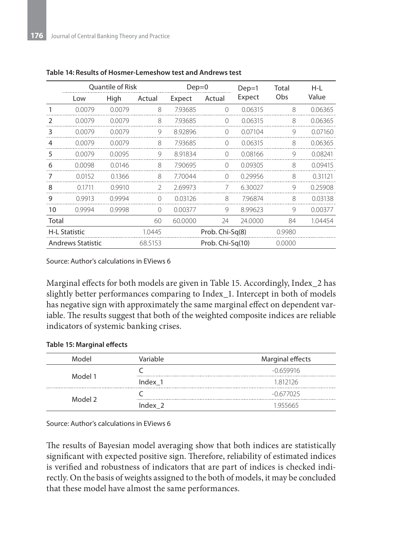|                      | <b>Ouantile of Risk</b> |        |                 | $Dep=0$ |                  | Total   | $H-L$      |         |
|----------------------|-------------------------|--------|-----------------|---------|------------------|---------|------------|---------|
|                      | Low                     | High   | Actual          | Expect  | Actual           | Expect  | <b>Obs</b> | Value   |
|                      | 0.0079                  | 0.0079 | 8               | 7.93685 | $\Omega$         | 0.06315 | 8          | 0.06365 |
| $\overline{2}$       | 0.0079                  | 0.0079 | 8               | 7.93685 | $\Omega$         | 0.06315 | 8          | 0.06365 |
| 3                    | 0.0079                  | 0.0079 | 9               | 8.92896 | $\Omega$         | 0.07104 | 9          | 0.07160 |
| 4                    | 0.0079                  | 0.0079 | 8               | 7.93685 | $\Omega$         | 0.06315 | 8          | 0.06365 |
| 5                    | 0.0079                  | 0.0095 | 9               | 8.91834 | $\Omega$         | 0.08166 | 9          | 0.08241 |
| 6                    | 0.0098                  | 0.0146 | 8               | 7.90695 | $\Omega$         | 0.09305 | 8          | 0.09415 |
| 7                    | 0.0152                  | 0.1366 | 8               | 7.70044 | $\Omega$         | 0.29956 | 8          | 0.31121 |
| 8                    | 0.1711                  | 0.9910 | $\mathcal{P}$   | 2.69973 | 7                | 6.30027 | 9          | 0.25908 |
| 9                    | 0.9913                  | 0.9994 | $\Omega$        | 0.03126 | 8                | 7.96874 | 8          | 0.03138 |
| 10                   | 0.9994                  | 0.9998 | $\Omega$        | 0.00377 | 9                | 8.99623 | 9          | 0.00377 |
| Total                |                         |        | 60              | 60.0000 | 24               | 24.0000 | 84         | 1.04454 |
| <b>H-L Statistic</b> |                         | 1.0445 | Prob. Chi-Sq(8) |         |                  | 0.9980  |            |         |
|                      | Andrews Statistic       |        | 68.5153         |         | Prob. Chi-Sq(10) |         | 0.0000     |         |

**Table 14: Results of Hosmer-Lemeshow test and Andrews test**

Source: Author's calculations in EViews 6

Marginal effects for both models are given in Table 15. Accordingly, Index\_2 has slightly better performances comparing to Index\_1. Intercept in both of models has negative sign with approximately the same marginal effect on dependent variable. The results suggest that both of the weighted composite indices are reliable indicators of systemic banking crises.

|  |  |  |  | <b>Table 15: Marginal effects</b> |
|--|--|--|--|-----------------------------------|
|--|--|--|--|-----------------------------------|

| Model   | Variable | Marginal effects |
|---------|----------|------------------|
|         |          | $-0659916$       |
| Model 1 | Index 1  | 1.812126         |
|         |          | $-0.677025$      |
| Model 2 | Index 2  | 1955665          |
|         |          |                  |

Source: Author's calculations in EViews 6

The results of Bayesian model averaging show that both indices are statistically significant with expected positive sign. Therefore, reliability of estimated indices is verified and robustness of indicators that are part of indices is checked indirectly. On the basis of weights assigned to the both of models, it may be concluded that these model have almost the same performances.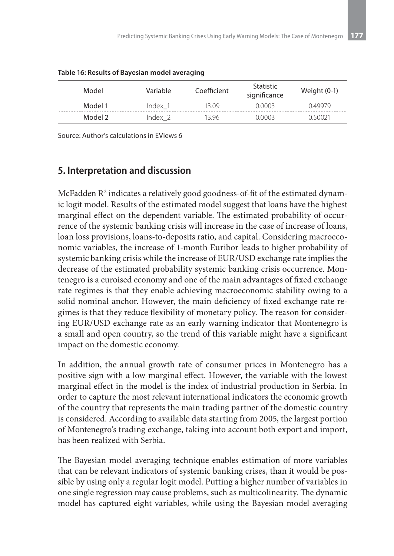| Model   | Variable | Coefficient | Statistic<br>significance | Weight (0-1) |
|---------|----------|-------------|---------------------------|--------------|
| Model 1 | Index i  | 13.09       | 0 0003                    | 049979       |
| Model 2 | mdex     | 13 96       | N UU U                    |              |

**Table 16: Results of Bayesian model averaging**

Source: Author's calculations in EViews 6

### **5. Interpretation and discussion**

McFadden  $\mathsf{R}^2$  indicates a relatively good goodness-of-fit of the estimated dynamic logit model. Results of the estimated model suggest that loans have the highest marginal effect on the dependent variable. The estimated probability of occurrence of the systemic banking crisis will increase in the case of increase of loans, loan loss provisions, loans-to-deposits ratio, and capital. Considering macroeconomic variables, the increase of 1-month Euribor leads to higher probability of systemic banking crisis while the increase of EUR/USD exchange rate implies the decrease of the estimated probability systemic banking crisis occurrence. Montenegro is a euroised economy and one of the main advantages of fixed exchange rate regimes is that they enable achieving macroeconomic stability owing to a solid nominal anchor. However, the main deficiency of fixed exchange rate regimes is that they reduce flexibility of monetary policy. The reason for considering EUR/USD exchange rate as an early warning indicator that Montenegro is a small and open country, so the trend of this variable might have a significant impact on the domestic economy.

In addition, the annual growth rate of consumer prices in Montenegro has a positive sign with a low marginal effect. However, the variable with the lowest marginal effect in the model is the index of industrial production in Serbia. In order to capture the most relevant international indicators the economic growth of the country that represents the main trading partner of the domestic country is considered. According to available data starting from 2005, the largest portion of Montenegro's trading exchange, taking into account both export and import, has been realized with Serbia.

The Bayesian model averaging technique enables estimation of more variables that can be relevant indicators of systemic banking crises, than it would be possible by using only a regular logit model. Putting a higher number of variables in one single regression may cause problems, such as multicolinearity. The dynamic model has captured eight variables, while using the Bayesian model averaging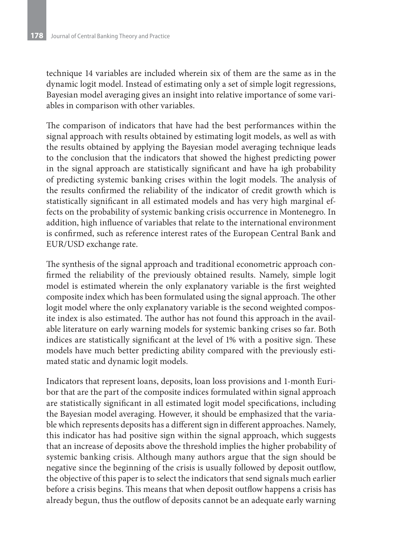technique 14 variables are included wherein six of them are the same as in the dynamic logit model. Instead of estimating only a set of simple logit regressions, Bayesian model averaging gives an insight into relative importance of some variables in comparison with other variables.

The comparison of indicators that have had the best performances within the signal approach with results obtained by estimating logit models, as well as with the results obtained by applying the Bayesian model averaging technique leads to the conclusion that the indicators that showed the highest predicting power in the signal approach are statistically significant and have ha igh probability of predicting systemic banking crises within the logit models. The analysis of the results confirmed the reliability of the indicator of credit growth which is statistically significant in all estimated models and has very high marginal effects on the probability of systemic banking crisis occurrence in Montenegro. In addition, high influence of variables that relate to the international environment is confirmed, such as reference interest rates of the European Central Bank and EUR/USD exchange rate.

The synthesis of the signal approach and traditional econometric approach confirmed the reliability of the previously obtained results. Namely, simple logit model is estimated wherein the only explanatory variable is the first weighted composite index which has been formulated using the signal approach. The other logit model where the only explanatory variable is the second weighted composite index is also estimated. The author has not found this approach in the available literature on early warning models for systemic banking crises so far. Both indices are statistically significant at the level of 1% with a positive sign. These models have much better predicting ability compared with the previously estimated static and dynamic logit models.

Indicators that represent loans, deposits, loan loss provisions and 1-month Euribor that are the part of the composite indices formulated within signal approach are statistically significant in all estimated logit model specifications, including the Bayesian model averaging. However, it should be emphasized that the variable which represents deposits has a different sign in different approaches. Namely, this indicator has had positive sign within the signal approach, which suggests that an increase of deposits above the threshold implies the higher probability of systemic banking crisis. Although many authors argue that the sign should be negative since the beginning of the crisis is usually followed by deposit outflow, the objective of this paper is to select the indicators that send signals much earlier before a crisis begins. This means that when deposit outflow happens a crisis has already begun, thus the outflow of deposits cannot be an adequate early warning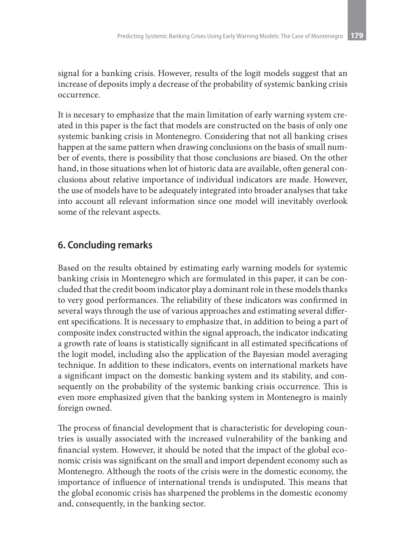signal for a banking crisis. However, results of the logit models suggest that an increase of deposits imply a decrease of the probability of systemic banking crisis occurrence.

It is necesary to emphasize that the main limitation of early warning system created in this paper is the fact that models are constructed on the basis of only one systemic banking crisis in Montenegro. Considering that not all banking crises happen at the same pattern when drawing conclusions on the basis of small number of events, there is possibility that those conclusions are biased. On the other hand, in those situations when lot of historic data are available, often general conclusions about relative importance of individual indicators are made. However, the use of models have to be adequately integrated into broader analyses that take into account all relevant information since one model will inevitably overlook some of the relevant aspects.

## **6. Concluding remarks**

Based on the results obtained by estimating early warning models for systemic banking crisis in Montenegro which are formulated in this paper, it can be concluded that the credit boom indicator play a dominant role in these models thanks to very good performances. The reliability of these indicators was confirmed in several ways through the use of various approaches and estimating several different specifications. It is necessary to emphasize that, in addition to being a part of composite index constructed within the signal approach, the indicator indicating a growth rate of loans is statistically significant in all estimated specifications of the logit model, including also the application of the Bayesian model averaging technique. In addition to these indicators, events on international markets have a significant impact on the domestic banking system and its stability, and consequently on the probability of the systemic banking crisis occurrence. This is even more emphasized given that the banking system in Montenegro is mainly foreign owned.

The process of financial development that is characteristic for developing countries is usually associated with the increased vulnerability of the banking and financial system. However, it should be noted that the impact of the global economic crisis was significant on the small and import dependent economy such as Montenegro. Although the roots of the crisis were in the domestic economy, the importance of influence of international trends is undisputed. This means that the global economic crisis has sharpened the problems in the domestic economy and, consequently, in the banking sector.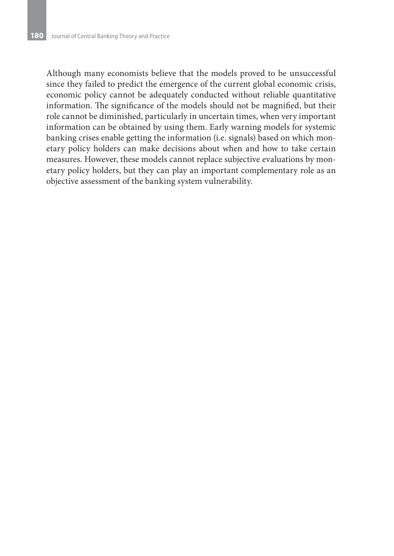Although many economists believe that the models proved to be unsuccessful since they failed to predict the emergence of the current global economic crisis, economic policy cannot be adequately conducted without reliable quantitative information. The significance of the models should not be magnified, but their role cannot be diminished, particularly in uncertain times, when very important information can be obtained by using them. Early warning models for systemic banking crises enable getting the information (i.e. signals) based on which monetary policy holders can make decisions about when and how to take certain measures. However, these models cannot replace subjective evaluations by monetary policy holders, but they can play an important complementary role as an objective assessment of the banking system vulnerability.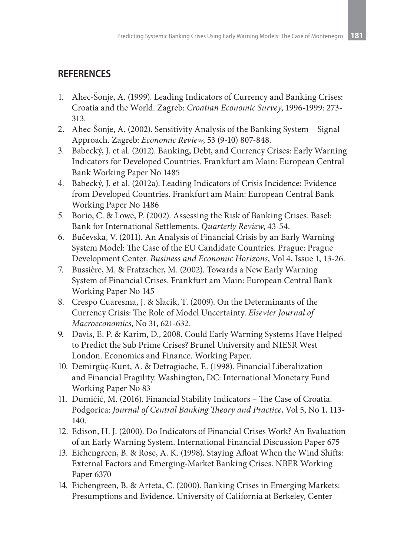# **REFERENCES**

- 1. Ahec-Šonje, A. (1999). Leading Indicators of Currency and Banking Crises: Croatia and the World. Zagreb: *Croatian Economic Survey*, 1996-1999: 273- 313.
- 2. Ahec-Šonje, A. (2002). Sensitivity Analysis of the Banking System Signal Approach. Zagreb: *Economic Review*, 53 (9-10) 807-848.
- 3. Babecký, J. et al. (2012). Banking, Debt, and Currency Crises: Early Warning Indicators for Developed Countries. Frankfurt am Main: European Central Bank Working Paper No 1485
- 4. Babecký, J. et al. (2012a). Leading Indicators of Crisis Incidence: Evidence from Developed Countries. Frankfurt am Main: European Central Bank Working Paper No 1486
- 5. Borio, C. & Lowe, P. (2002). Assessing the Risk of Banking Crises. Basel: Bank for International Settlements. *Quarterly Review*, 43-54.
- 6. Bučevska, V. (2011). An Analysis of Financial Crisis by an Early Warning System Model: The Case of the EU Candidate Countries. Prague: Prague Development Center. *Business and Economic Horizons*, Vol 4, Issue 1, 13-26.
- 7. Bussière, M. & Fratzscher, M. (2002). Towards a New Early Warning System of Financial Crises. Frankfurt am Main: European Central Bank Working Paper No 145
- 8. Crespo Cuaresma, J. & Slacik, T. (2009). On the Determinants of the Currency Crisis: The Role of Model Uncertainty. *Elsevier Journal of Macroeconomics*, No 31, 621-632.
- 9. Davis, E. P. & Karim, D., 2008. Could Early Warning Systems Have Helped to Predict the Sub Prime Crises? Brunel University and NIESR West London. Economics and Finance. Working Paper.
- 10. Demirgüç-Kunt, A. & Detragiache, E. (1998). Financial Liberalization and Financial Fragility. Washington, DC: International Monetary Fund Working Paper No 83
- 11. Dumičić, M. (2016). Financial Stability Indicators The Case of Croatia. Podgorica: *Journal of Central Banking Theory and Practice*, Vol 5, No 1, 113- 140.
- 12. Edison, H. J. (2000). Do Indicators of Financial Crises Work? An Evaluation of an Early Warning System. International Financial Discussion Paper 675
- 13. Eichengreen, B. & Rose, A. K. (1998). Staying Afloat When the Wind Shifts: External Factors and Emerging-Market Banking Crises. NBER Working Paper 6370
- 14. Eichengreen, B. & Arteta, C. (2000). Banking Crises in Emerging Markets: Presumptions and Evidence. University of California at Berkeley, Center